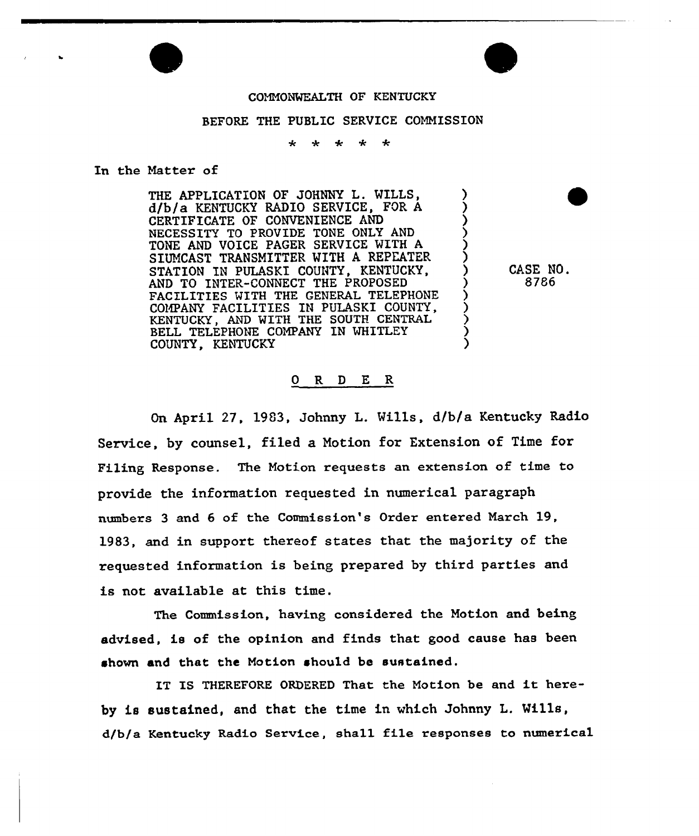

## BEFORE THE PUBLIC SERVICE COMMISSION

 $\mathbf{d}$ منانه  $\mathbf{r}$ 

## In the Matter of

THE APPLICATION OF JOHNNY L. MILLS, d/b/a KENTUCKY RADIO SERVICE, FOR A CERTIFICATE OF CONVENIENCE AND NECESSITY TO PROVIDE TONE ONLY AND TONE AND VOICE PAGER SERVICE WITH A SIUNCAST TRANSMITTER MITH A REPEATER STATION IN PULASKI COUNTY, KENTUCKY, AND TO INTER-CONNECT THE PROPOSED FACILITIES WITH THE GENERAL TELEPHONE COMPANY FACILITIES IN PULASKI COUNTY, KENTUCKY, AND WITH THE SOUTH CENTRAL BELL TELEPHONE COMPANY IN WHITLEY COUNTY, KENTUCKY

CASE NO. 8786

## 0 R <sup>D</sup> E R

On April 27, 1983, Johnny L. Mills, d/b/a Kentucky Radio Service, by counsel, filed a Notion for Extension of Time for Filing Response. The Motion requests an extension of time to provide the information requested in numerical paragraph numbers 3 and 6 of the Commission's Order entered March 19, 1983, and in support thereof states that the majority of the requested information is being prepared by third parties and is not available at this time.

The Commission, having considered the Motion and being advised, is of the opinion and finds that good cause has been shown and that the Motion should be sustained.

IT IS THEREFORE ORDERED That the Motion be and it hereby is sustained, and that the time in which Johnny L. Mills, d/b/a Kentucky Radio Service, shall file responses to numerical